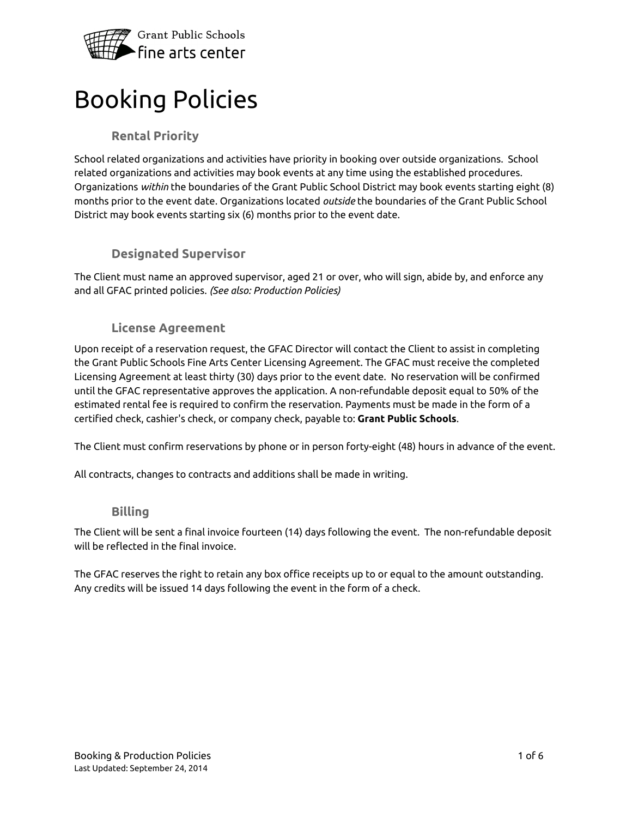

# Booking Policies

# **Rental Priority**

School related organizations and activities have priority in booking over outside organizations. School related organizations and activities may book events at any time using the established procedures. Organizations *within* the boundaries of the Grant Public School District may book events starting eight (8) months prior to the event date. Organizations located *outside* the boundaries of the Grant Public School District may book events starting six (6) months prior to the event date.

# **Designated Supervisor**

The Client must name an approved supervisor, aged 21 or over, who will sign, abide by, and enforce any and all GFAC printed policies. *(See also: Production Policies)*

# **License Agreement**

Upon receipt of a reservation request, the GFAC Director will contact the Client to assist in completing the Grant Public Schools Fine Arts Center Licensing Agreement. The GFAC must receive the completed Licensing Agreement at least thirty (30) days prior to the event date. No reservation will be confirmed until the GFAC representative approves the application. A non-refundable deposit equal to 50% of the estimated rental fee is required to confirm the reservation. Payments must be made in the form of a certified check, cashier's check, or company check, payable to: **Grant Public Schools**.

The Client must confirm reservations by phone or in person forty-eight (48) hours in advance of the event.

All contracts, changes to contracts and additions shall be made in writing.

#### **Billing**

The Client will be sent a final invoice fourteen (14) days following the event. The non-refundable deposit will be reflected in the final invoice.

The GFAC reserves the right to retain any box office receipts up to or equal to the amount outstanding. Any credits will be issued 14 days following the event in the form of a check.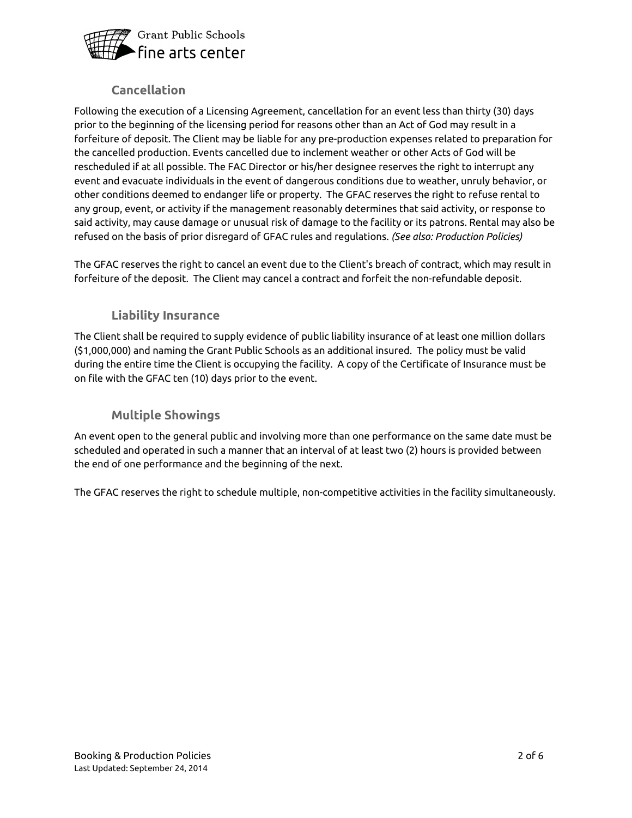

# **Cancellation**

Following the execution of a Licensing Agreement, cancellation for an event less than thirty (30) days prior to the beginning of the licensing period for reasons other than an Act of God may result in a forfeiture of deposit. The Client may be liable for any pre-production expenses related to preparation for the cancelled production. Events cancelled due to inclement weather or other Acts of God will be rescheduled if at all possible. The FAC Director or his/her designee reserves the right to interrupt any event and evacuate individuals in the event of dangerous conditions due to weather, unruly behavior, or other conditions deemed to endanger life or property. The GFAC reserves the right to refuse rental to any group, event, or activity if the management reasonably determines that said activity, or response to said activity, may cause damage or unusual risk of damage to the facility or its patrons. Rental may also be refused on the basis of prior disregard of GFAC rules and regulations. *(See also: Production Policies)*

The GFAC reserves the right to cancel an event due to the Client's breach of contract, which may result in forfeiture of the deposit. The Client may cancel a contract and forfeit the non-refundable deposit.

# **Liability Insurance**

The Client shall be required to supply evidence of public liability insurance of at least one million dollars (\$1,000,000) and naming the Grant Public Schools as an additional insured. The policy must be valid during the entire time the Client is occupying the facility. A copy of the Certificate of Insurance must be on file with the GFAC ten (10) days prior to the event.

# **Multiple Showings**

An event open to the general public and involving more than one performance on the same date must be scheduled and operated in such a manner that an interval of at least two (2) hours is provided between the end of one performance and the beginning of the next.

The GFAC reserves the right to schedule multiple, non-competitive activities in the facility simultaneously.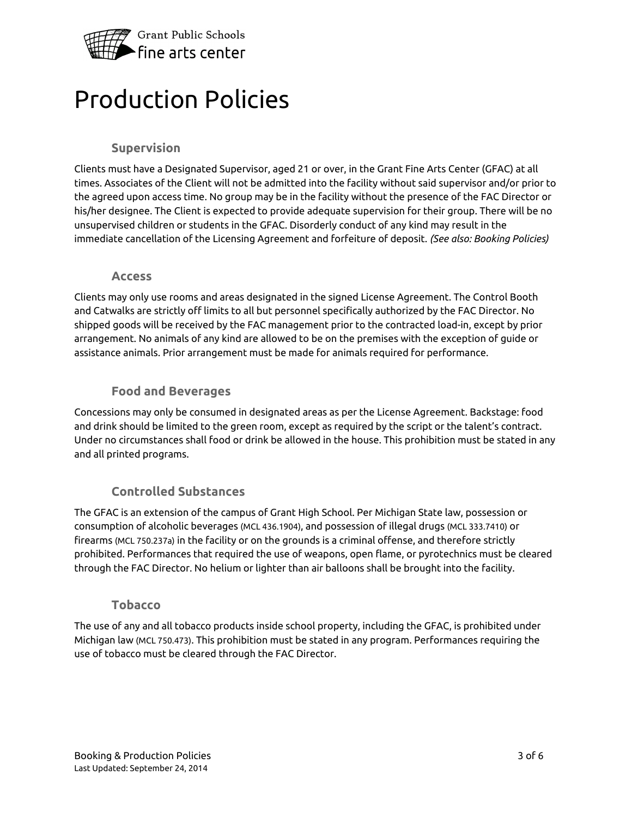

# Production Policies

# **Supervision**

Clients must have a Designated Supervisor, aged 21 or over, in the Grant Fine Arts Center (GFAC) at all times. Associates of the Client will not be admitted into the facility without said supervisor and/or prior to the agreed upon access time. No group may be in the facility without the presence of the FAC Director or his/her designee. The Client is expected to provide adequate supervision for their group. There will be no unsupervised children or students in the GFAC. Disorderly conduct of any kind may result in the immediate cancellation of the Licensing Agreement and forfeiture of deposit. *(See also: Booking Policies)*

#### **Access**

Clients may only use rooms and areas designated in the signed License Agreement. The Control Booth and Catwalks are strictly off limits to all but personnel specifically authorized by the FAC Director. No shipped goods will be received by the FAC management prior to the contracted load-in, except by prior arrangement. No animals of any kind are allowed to be on the premises with the exception of guide or assistance animals. Prior arrangement must be made for animals required for performance.

#### **Food and Beverages**

Concessions may only be consumed in designated areas as per the License Agreement. Backstage: food and drink should be limited to the green room, except as required by the script or the talent's contract. Under no circumstances shall food or drink be allowed in the house. This prohibition must be stated in any and all printed programs.

# **Controlled Substances**

The GFAC is an extension of the campus of Grant High School. Per Michigan State law, possession or consumption of alcoholic beverages (MCL 436.1904), and possession of illegal drugs (MCL 333.7410) or firearms (MCL 750.237a) in the facility or on the grounds is a criminal offense, and therefore strictly prohibited. Performances that required the use of weapons, open flame, or pyrotechnics must be cleared through the FAC Director. No helium or lighter than air balloons shall be brought into the facility.

#### **Tobacco**

The use of any and all tobacco products inside school property, including the GFAC, is prohibited under Michigan law (MCL 750.473). This prohibition must be stated in any program. Performances requiring the use of tobacco must be cleared through the FAC Director.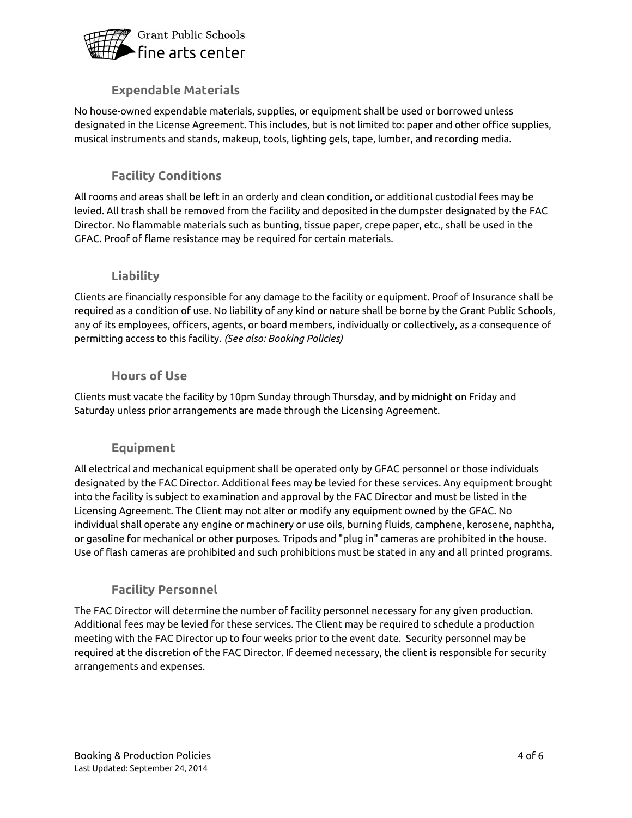

# **Expendable Materials**

No house-owned expendable materials, supplies, or equipment shall be used or borrowed unless designated in the License Agreement. This includes, but is not limited to: paper and other office supplies, musical instruments and stands, makeup, tools, lighting gels, tape, lumber, and recording media.

# **Facility Conditions**

All rooms and areas shall be left in an orderly and clean condition, or additional custodial fees may be levied. All trash shall be removed from the facility and deposited in the dumpster designated by the FAC Director. No flammable materials such as bunting, tissue paper, crepe paper, etc., shall be used in the GFAC. Proof of flame resistance may be required for certain materials.

# **Liability**

Clients are financially responsible for any damage to the facility or equipment. Proof of Insurance shall be required as a condition of use. No liability of any kind or nature shall be borne by the Grant Public Schools, any of its employees, officers, agents, or board members, individually or collectively, as a consequence of permitting access to this facility. *(See also: Booking Policies)*

#### **Hours of Use**

Clients must vacate the facility by 10pm Sunday through Thursday, and by midnight on Friday and Saturday unless prior arrangements are made through the Licensing Agreement.

# **Equipment**

All electrical and mechanical equipment shall be operated only by GFAC personnel or those individuals designated by the FAC Director. Additional fees may be levied for these services. Any equipment brought into the facility is subject to examination and approval by the FAC Director and must be listed in the Licensing Agreement. The Client may not alter or modify any equipment owned by the GFAC. No individual shall operate any engine or machinery or use oils, burning fluids, camphene, kerosene, naphtha, or gasoline for mechanical or other purposes. Tripods and "plug in" cameras are prohibited in the house. Use of flash cameras are prohibited and such prohibitions must be stated in any and all printed programs.

# **Facility Personnel**

The FAC Director will determine the number of facility personnel necessary for any given production. Additional fees may be levied for these services. The Client may be required to schedule a production meeting with the FAC Director up to four weeks prior to the event date. Security personnel may be required at the discretion of the FAC Director. If deemed necessary, the client is responsible for security arrangements and expenses.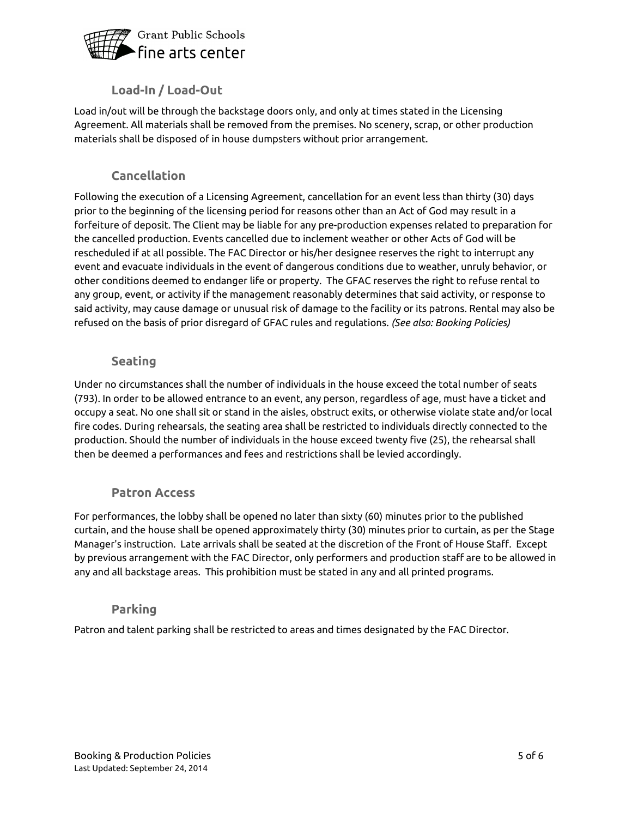

# **Load-In / Load-Out**

Load in/out will be through the backstage doors only, and only at times stated in the Licensing Agreement. All materials shall be removed from the premises. No scenery, scrap, or other production materials shall be disposed of in house dumpsters without prior arrangement.

# **Cancellation**

Following the execution of a Licensing Agreement, cancellation for an event less than thirty (30) days prior to the beginning of the licensing period for reasons other than an Act of God may result in a forfeiture of deposit. The Client may be liable for any pre-production expenses related to preparation for the cancelled production. Events cancelled due to inclement weather or other Acts of God will be rescheduled if at all possible. The FAC Director or his/her designee reserves the right to interrupt any event and evacuate individuals in the event of dangerous conditions due to weather, unruly behavior, or other conditions deemed to endanger life or property. The GFAC reserves the right to refuse rental to any group, event, or activity if the management reasonably determines that said activity, or response to said activity, may cause damage or unusual risk of damage to the facility or its patrons. Rental may also be refused on the basis of prior disregard of GFAC rules and regulations. *(See also: Booking Policies)*

# **Seating**

Under no circumstances shall the number of individuals in the house exceed the total number of seats (793). In order to be allowed entrance to an event, any person, regardless of age, must have a ticket and occupy a seat. No one shall sit or stand in the aisles, obstruct exits, or otherwise violate state and/or local fire codes. During rehearsals, the seating area shall be restricted to individuals directly connected to the production. Should the number of individuals in the house exceed twenty five (25), the rehearsal shall then be deemed a performances and fees and restrictions shall be levied accordingly.

# **Patron Access**

For performances, the lobby shall be opened no later than sixty (60) minutes prior to the published curtain, and the house shall be opened approximately thirty (30) minutes prior to curtain, as per the Stage Manager's instruction. Late arrivals shall be seated at the discretion of the Front of House Staff. Except by previous arrangement with the FAC Director, only performers and production staff are to be allowed in any and all backstage areas. This prohibition must be stated in any and all printed programs.

# **Parking**

Patron and talent parking shall be restricted to areas and times designated by the FAC Director.